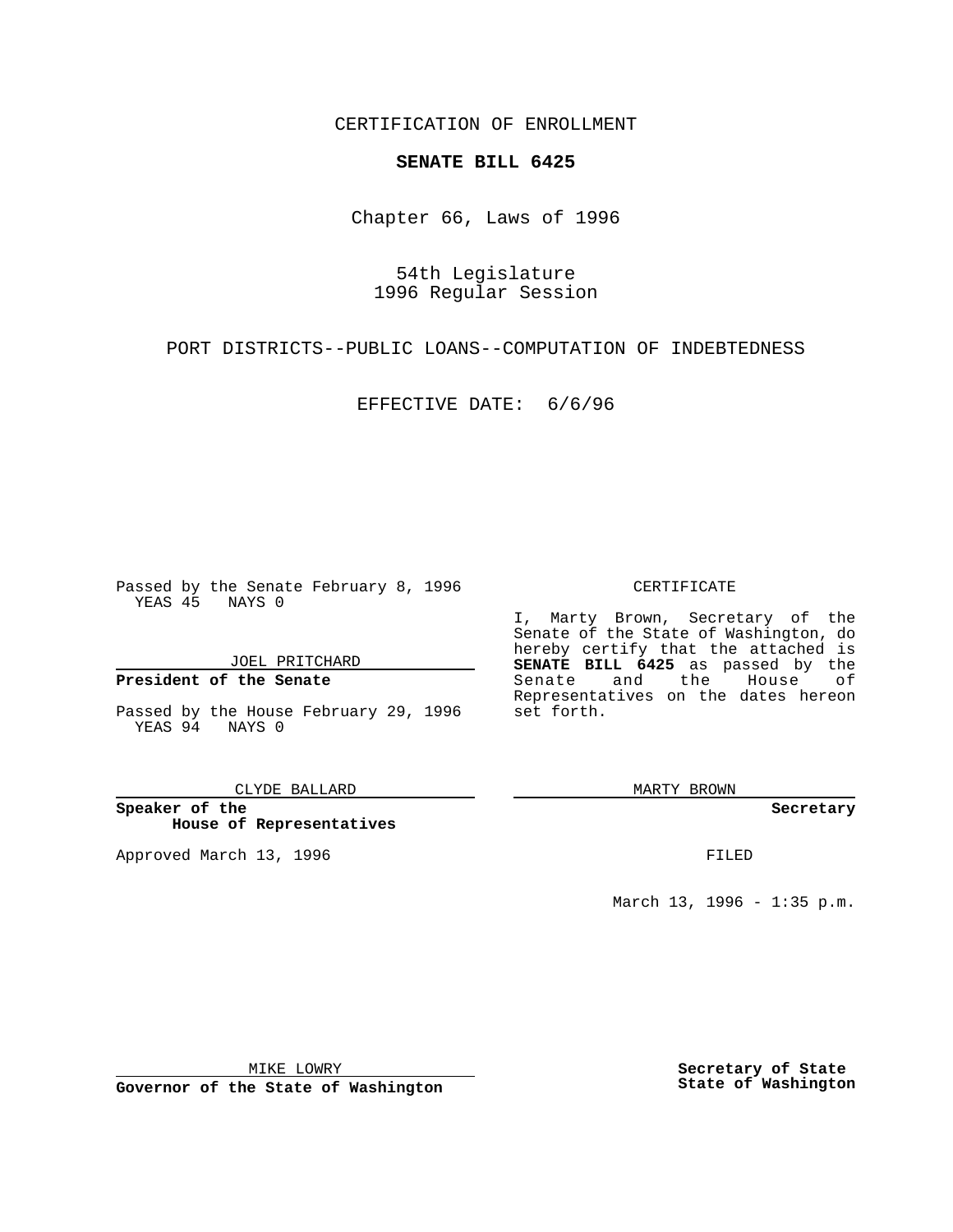CERTIFICATION OF ENROLLMENT

## **SENATE BILL 6425**

Chapter 66, Laws of 1996

54th Legislature 1996 Regular Session

PORT DISTRICTS--PUBLIC LOANS--COMPUTATION OF INDEBTEDNESS

EFFECTIVE DATE: 6/6/96

Passed by the Senate February 8, 1996 YEAS 45 NAYS 0

JOEL PRITCHARD

**President of the Senate**

Passed by the House February 29, 1996 YEAS 94 NAYS 0

CLYDE BALLARD

**Speaker of the House of Representatives**

Approved March 13, 1996 **FILED** 

## CERTIFICATE

I, Marty Brown, Secretary of the Senate of the State of Washington, do hereby certify that the attached is **SENATE BILL 6425** as passed by the Senate and the House of Representatives on the dates hereon set forth.

MARTY BROWN

**Secretary**

March 13, 1996 - 1:35 p.m.

MIKE LOWRY

**Governor of the State of Washington**

**Secretary of State State of Washington**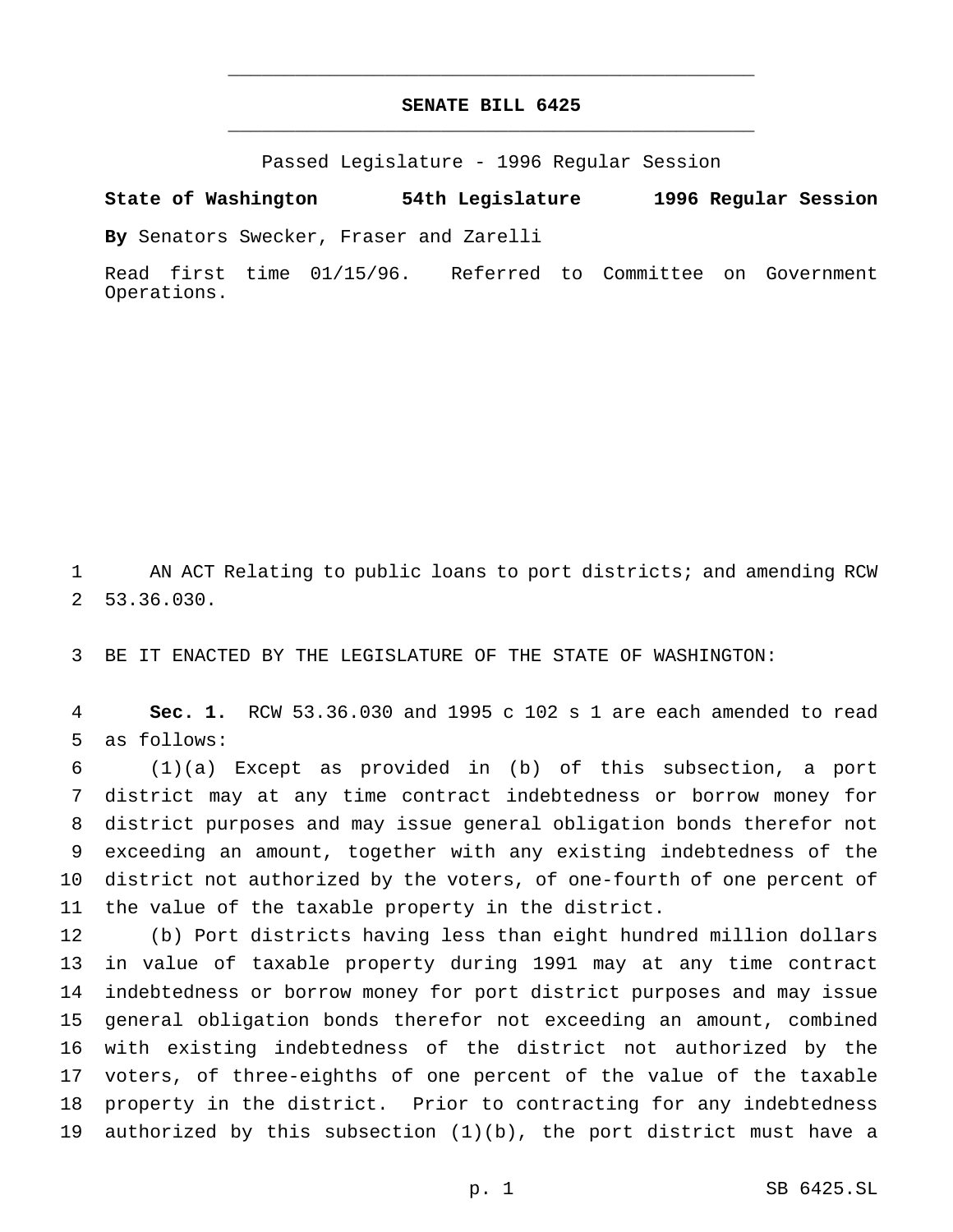## **SENATE BILL 6425** \_\_\_\_\_\_\_\_\_\_\_\_\_\_\_\_\_\_\_\_\_\_\_\_\_\_\_\_\_\_\_\_\_\_\_\_\_\_\_\_\_\_\_\_\_\_\_

\_\_\_\_\_\_\_\_\_\_\_\_\_\_\_\_\_\_\_\_\_\_\_\_\_\_\_\_\_\_\_\_\_\_\_\_\_\_\_\_\_\_\_\_\_\_\_

Passed Legislature - 1996 Regular Session

**State of Washington 54th Legislature 1996 Regular Session**

**By** Senators Swecker, Fraser and Zarelli

Read first time 01/15/96. Referred to Committee on Government Operations.

 AN ACT Relating to public loans to port districts; and amending RCW 53.36.030.

BE IT ENACTED BY THE LEGISLATURE OF THE STATE OF WASHINGTON:

 **Sec. 1.** RCW 53.36.030 and 1995 c 102 s 1 are each amended to read as follows:

 (1)(a) Except as provided in (b) of this subsection, a port district may at any time contract indebtedness or borrow money for district purposes and may issue general obligation bonds therefor not exceeding an amount, together with any existing indebtedness of the district not authorized by the voters, of one-fourth of one percent of the value of the taxable property in the district.

 (b) Port districts having less than eight hundred million dollars in value of taxable property during 1991 may at any time contract indebtedness or borrow money for port district purposes and may issue general obligation bonds therefor not exceeding an amount, combined with existing indebtedness of the district not authorized by the voters, of three-eighths of one percent of the value of the taxable property in the district. Prior to contracting for any indebtedness authorized by this subsection (1)(b), the port district must have a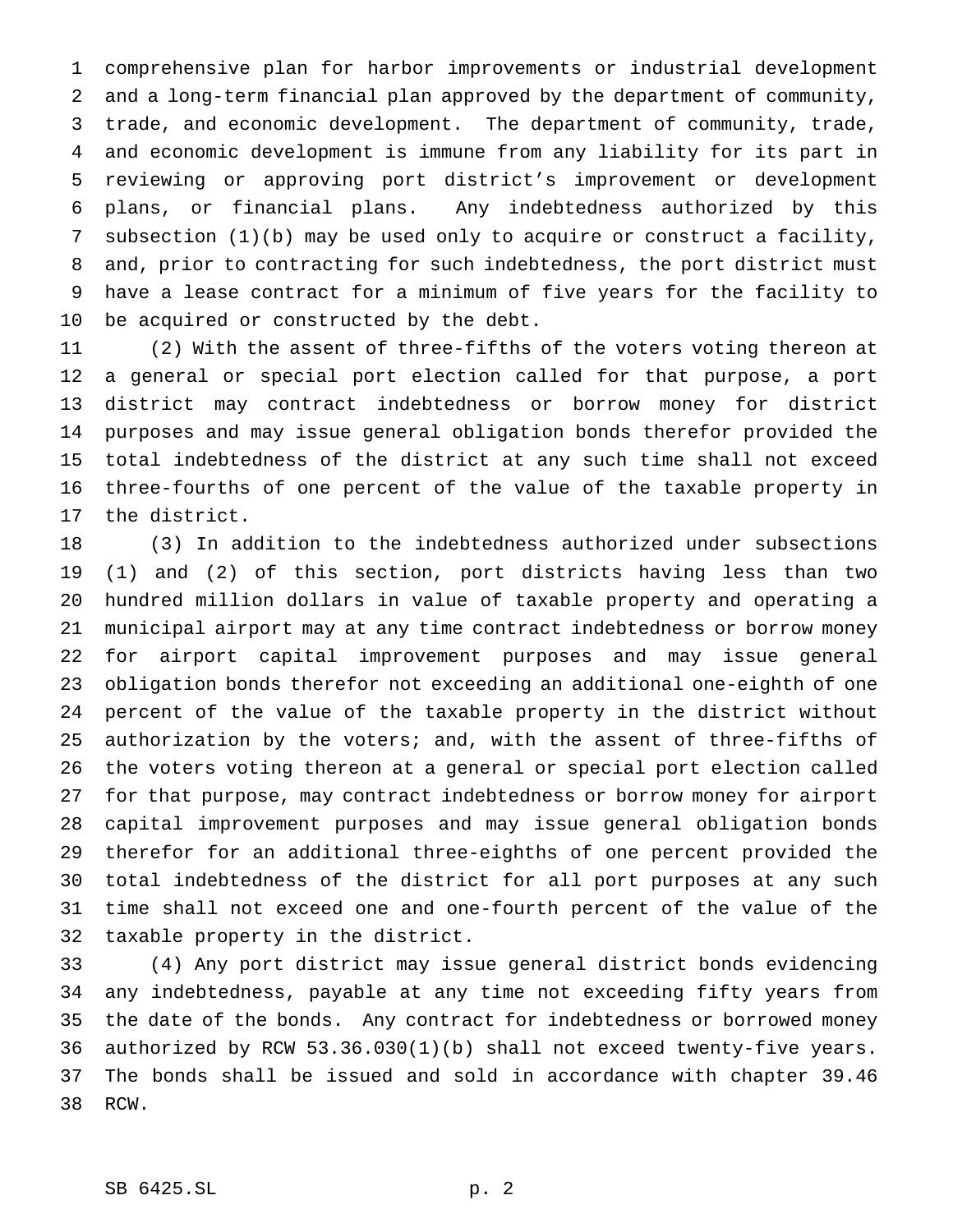comprehensive plan for harbor improvements or industrial development and a long-term financial plan approved by the department of community, trade, and economic development. The department of community, trade, and economic development is immune from any liability for its part in reviewing or approving port district's improvement or development plans, or financial plans. Any indebtedness authorized by this subsection (1)(b) may be used only to acquire or construct a facility, and, prior to contracting for such indebtedness, the port district must have a lease contract for a minimum of five years for the facility to be acquired or constructed by the debt.

 (2) With the assent of three-fifths of the voters voting thereon at a general or special port election called for that purpose, a port district may contract indebtedness or borrow money for district purposes and may issue general obligation bonds therefor provided the total indebtedness of the district at any such time shall not exceed three-fourths of one percent of the value of the taxable property in the district.

 (3) In addition to the indebtedness authorized under subsections (1) and (2) of this section, port districts having less than two hundred million dollars in value of taxable property and operating a municipal airport may at any time contract indebtedness or borrow money for airport capital improvement purposes and may issue general obligation bonds therefor not exceeding an additional one-eighth of one percent of the value of the taxable property in the district without authorization by the voters; and, with the assent of three-fifths of the voters voting thereon at a general or special port election called for that purpose, may contract indebtedness or borrow money for airport capital improvement purposes and may issue general obligation bonds therefor for an additional three-eighths of one percent provided the total indebtedness of the district for all port purposes at any such time shall not exceed one and one-fourth percent of the value of the taxable property in the district.

 (4) Any port district may issue general district bonds evidencing any indebtedness, payable at any time not exceeding fifty years from the date of the bonds. Any contract for indebtedness or borrowed money authorized by RCW 53.36.030(1)(b) shall not exceed twenty-five years. The bonds shall be issued and sold in accordance with chapter 39.46 RCW.